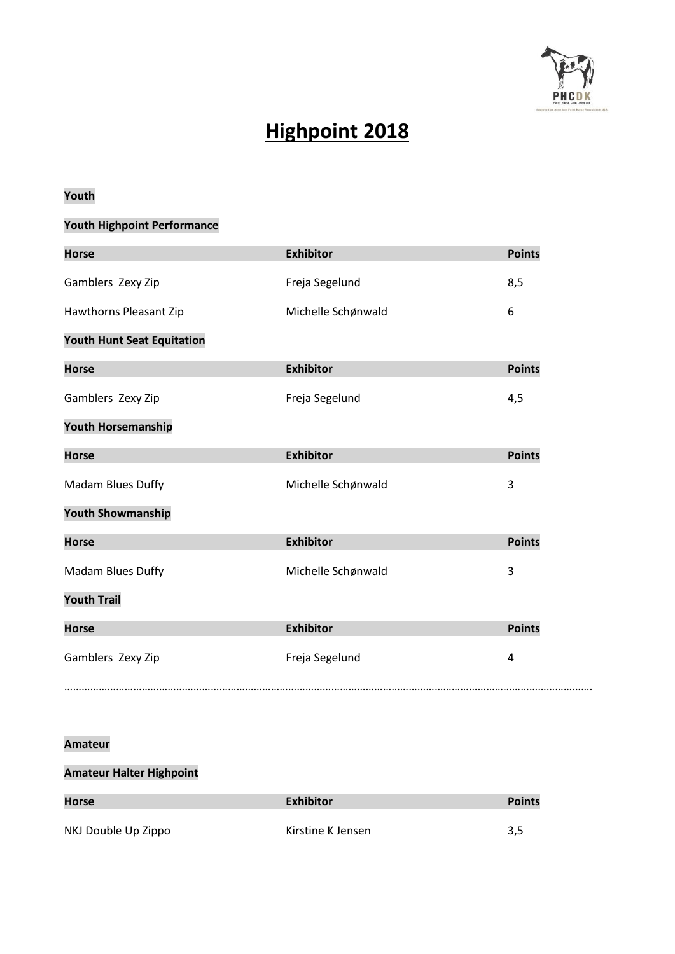

# **Highpoint 2018**

## **Youth**

# **Youth Highpoint Performance**

| <b>Horse</b>                      | <b>Exhibitor</b>   | <b>Points</b> |
|-----------------------------------|--------------------|---------------|
| Gamblers Zexy Zip                 | Freja Segelund     | 8,5           |
| Hawthorns Pleasant Zip            | Michelle Schønwald | 6             |
| <b>Youth Hunt Seat Equitation</b> |                    |               |
| <b>Horse</b>                      | <b>Exhibitor</b>   | <b>Points</b> |
| Gamblers Zexy Zip                 | Freja Segelund     | 4,5           |
| <b>Youth Horsemanship</b>         |                    |               |
| <b>Horse</b>                      | <b>Exhibitor</b>   | <b>Points</b> |
| Madam Blues Duffy                 | Michelle Schønwald | 3             |
| <b>Youth Showmanship</b>          |                    |               |
| <b>Horse</b>                      | <b>Exhibitor</b>   | <b>Points</b> |
| Madam Blues Duffy                 | Michelle Schønwald | 3             |
| <b>Youth Trail</b>                |                    |               |
| <b>Horse</b>                      | <b>Exhibitor</b>   | <b>Points</b> |
| Gamblers Zexy Zip                 | Freja Segelund     | 4             |
|                                   |                    |               |

#### **Amateur**

# **Amateur Halter Highpoint**

| <b>Horse</b>        | <b>Exhibitor</b>  | <b>Points</b> |
|---------------------|-------------------|---------------|
|                     |                   |               |
| NKJ Double Up Zippo | Kirstine K Jensen | 3,5           |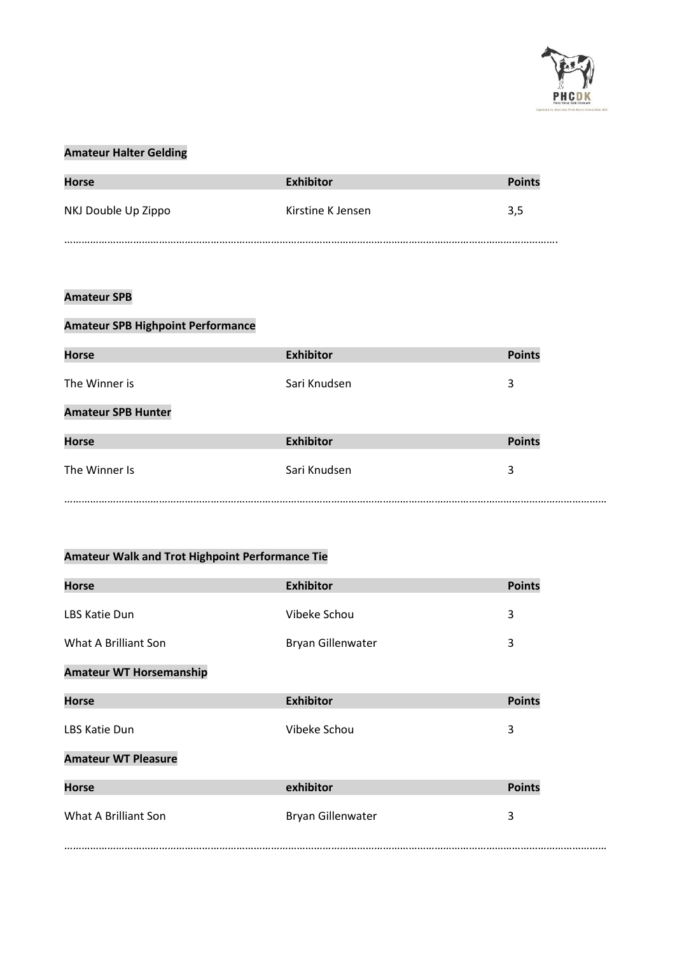

#### **Amateur Halter Gelding**

| <b>Horse</b>        | <b>Exhibitor</b>  | <b>Points</b> |
|---------------------|-------------------|---------------|
| NKJ Double Up Zippo | Kirstine K Jensen | 3.5           |
|                     |                   |               |

#### **Amateur SPB**

| <b>Amateur SPB Highpoint Performance</b> |                  |               |  |
|------------------------------------------|------------------|---------------|--|
| <b>Horse</b>                             | <b>Exhibitor</b> | <b>Points</b> |  |
| The Winner is                            | Sari Knudsen     | 3             |  |
| <b>Amateur SPB Hunter</b>                |                  |               |  |
| <b>Horse</b>                             | <b>Exhibitor</b> | <b>Points</b> |  |
| The Winner Is                            | Sari Knudsen     | 3             |  |
|                                          |                  |               |  |

# **Amateur Walk and Trot Highpoint Performance Tie**

| <b>Horse</b>                   | <b>Exhibitor</b>  | <b>Points</b> |
|--------------------------------|-------------------|---------------|
| LBS Katie Dun                  | Vibeke Schou      | 3             |
| What A Brilliant Son           | Bryan Gillenwater | 3             |
| <b>Amateur WT Horsemanship</b> |                   |               |
| <b>Horse</b>                   | <b>Exhibitor</b>  | <b>Points</b> |
| <b>LBS Katie Dun</b>           | Vibeke Schou      | 3             |
| <b>Amateur WT Pleasure</b>     |                   |               |
| <b>Horse</b>                   | exhibitor         | <b>Points</b> |
| What A Brilliant Son           | Bryan Gillenwater | 3             |
|                                |                   |               |